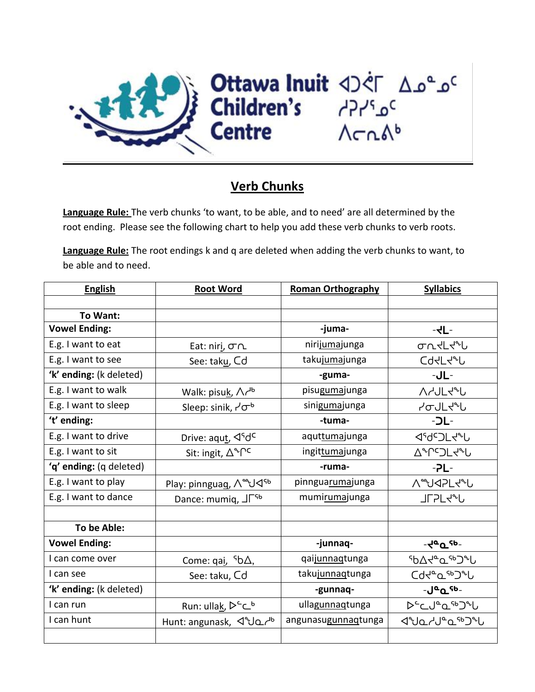

## **Verb Chunks**

**Language Rule:** The verb chunks 'to want, to be able, and to need' are all determined by the root ending. Please see the following chart to help you add these verb chunks to verb roots.

**Language Rule:** The root endings k and q are deleted when adding the verb chunks to want, to be able and to need.

| <b>English</b>          | <b>Root Word</b>                           | <b>Roman Orthography</b> | <b>Syllabics</b>                           |
|-------------------------|--------------------------------------------|--------------------------|--------------------------------------------|
|                         |                                            |                          |                                            |
| To Want:                |                                            |                          |                                            |
| <b>Vowel Ending:</b>    |                                            | -juma-                   | $-dL$ -                                    |
| E.g. I want to eat      | Eat: niri, Tr                              | nirijumajunga            | ᡉ᠋᠘ᢞᡃᠾ                                     |
| E.g. I want to see      | See: taku, Cd                              | takujumajunga            | <b>Cd</b> dLd <sup>2</sup> L               |
| 'k' ending: (k deleted) |                                            | -guma-                   | $-JL-$                                     |
| E.g. I want to walk     | Walk: pisuk, $\Lambda r^{16}$              | pisugumajunga            | <b>AAJLJAU</b>                             |
| E.g. I want to sleep    | Sleep: sinik, $7\sigma^b$                  | sinigumajunga            | ᢣᡉ <b>ᡕ</b> ᡫᡪᡃᢦ                           |
| 't' ending:             |                                            | -tuma-                   | $-DL-$                                     |
| E.g. I want to drive    | Drive: aqut, ⊲ <sup>s</sup> d <sup>c</sup> | aquttumajunga            | <b><dc>DL<rl></rl></dc></b>                |
| E.g. I want to sit      | Sit: ingit, $\Delta^4\Gamma^c$             | ingittumajunga           | <b>A</b> <sup>+</sup> redLd+L              |
| 'q' ending: (q deleted) |                                            | -ruma-                   | $-2L-$                                     |
| E.g. I want to play     | Play: pinnguag, AaJ<br>d<br>9              | pinnguarumajunga         | <b>A</b> JJAPLJU                           |
| E.g. I want to dance    | Dance: mumiq, J <sub>Lsp</sub>             | mumirumajunga            | <b>JLSL4&amp;P</b>                         |
|                         |                                            |                          |                                            |
| To be Able:             |                                            |                          |                                            |
| <b>Vowel Ending:</b>    |                                            | -junnaq-                 | $-4aQ$ <sub>c</sub> eb-                    |
| I can come over         | Come: $qai, 5b\Delta,$                     | qaijunnaqtunga           | ᠂ჼႦ∆ <b>ᡪ</b> ᡃ <sup></sup> ᠊ႭჼჼჂჼႱ        |
| I can see               | See: taku, Cd                              | takujunnaqtunga          | <b>Cd</b> de Lap Jen                       |
| 'k' ending: (k deleted) |                                            | -gunnaq-                 | - <b>J</b> <sup>-</sup> Q <sup>-9</sup> b- |
| I can run               | Run: ullak, Dc                             | ullagunnaqtunga          |                                            |
| I can hunt              | Hunt: angunask, J°JQ                       | angunasugunnaqtunga      | ⊲°⊍ჲ∠√°ჲ <sup>ኈ</sup> Ͻ°Ⴑ                  |
|                         |                                            |                          |                                            |